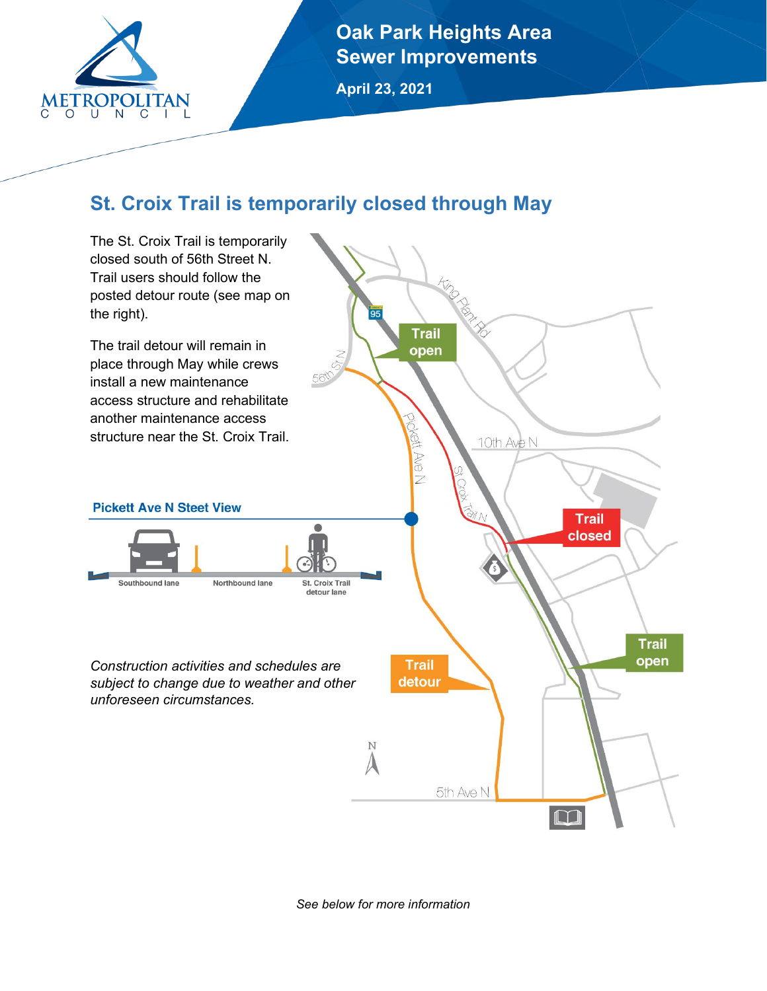

**Oak Park Heights Area Sewer Improvements**

**April 23, 2021**

# **St. Croix Trail is temporarily closed through May**



*See below for more information*